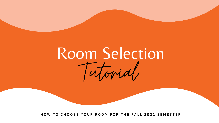# Room Selection Tutorial

HOW TO CHOOSE YOUR ROOM FOR THE FALL 2021 SEMESTER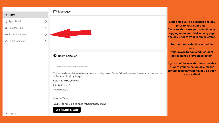

**Start times will be e-mailed one day prior to your start time. You can also view your start time by logging on to your MyHousing page one day prior to your room selection.**

**For the room selection schedule, visit: [https://www.fredonia.edu/student](https://www.fredonia.edu/student-life/residence-life/roomselection)life/residence-life/roomselection**

**If you don't have a start time one day prior to your selection day, please contact [reslife@fredonia.edu](mailto:reslife@fredonia.edu) as soon as possible!**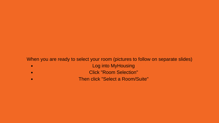## When you are ready to select your room (pictures to follow on separate slides)Log into MyHousing  $\bullet$ Click "Room Selection" Then click "Select a Room/Suite"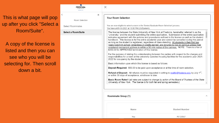This is what page will pop up after you click "Select Room/Suite".

A copy of the license is listed and then you can see who you will be selecting for. Then scroll down a bit.

|   | FREDONIA<br><b>RESIDENCE LIFE</b> |   | X                                                                                                                                                                                                                                                                                                             |
|---|-----------------------------------|---|---------------------------------------------------------------------------------------------------------------------------------------------------------------------------------------------------------------------------------------------------------------------------------------------------------------|
|   | ≺                                 | × |                                                                                                                                                                                                                                                                                                               |
|   | Room Selection                    |   | <b>Your Room Selection</b>                                                                                                                                                                                                                                                                                    |
| E | <b>Select Roommates</b>           |   | You are now eligible to select a room in t<br>You have until 4/6/2021 at 10:00 PM (US                                                                                                                                                                                                                         |
|   | Select a Room/Suite               |   | The license between the State Un<br>"university," and the student subm<br>indicates agreement with the polic<br>handbook. This license is for the<br>as long as the student is registere<br>years post-high school, regardless<br><u>registered permanent address is v</u><br>\$350.00 for APPROVED terminati |
|   |                                   |   | For the purpose of stating the und<br>responsibilities for a room at the u<br>2022 for occupancy by the studen                                                                                                                                                                                                |
|   |                                   |   | Basic information upon which this                                                                                                                                                                                                                                                                             |
|   |                                   |   | <b>Deposit Required: \$50.00 to be</b>                                                                                                                                                                                                                                                                        |
|   |                                   |   | <b>Refund of Deposit:</b> All refunds n<br>or within 30 days of acceptance, v                                                                                                                                                                                                                                 |
|   |                                   |   | Basic Room Rates*: (all rates are<br>University of New York. The licen                                                                                                                                                                                                                                        |
|   |                                   |   |                                                                                                                                                                                                                                                                                                               |
|   |                                   |   | Roommate Group (1)                                                                                                                                                                                                                                                                                            |
|   |                                   |   | Name                                                                                                                                                                                                                                                                                                          |

the 'Senior/Graduate Room Selection' process. S/Eastern).

iiversity of New York at Fredonia, hereinafter referred to as the itting the online application. Submission of the online application cies and procedures outlined in the license as well as the student entire academic year and cannot be cancelled during this period ed, regardless of class standing. All students in their first two s of credits earned, are required to live on campus unless their within a 50 mile radius of the campus. NOTE: There is a fee of ion of this license.

lerstanding between the parties with respect to the charges and iniversity operated housing facilities for the academic year 2021-

license is based as follows:

paid upon acceptance or at the time of room selection.

must be requested in writing to <u>reslife@fredonia.edu</u> by July 1<sup>st</sup>. whichever is later.

subject to change by action of the Board of Trustees of the State ise is for both fall and spring semesters.)

 $\sim$ 

**Student Number** 

F0123567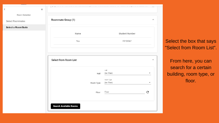|                         | × |                    |
|-------------------------|---|--------------------|
| Room Selection          |   |                    |
| <b>Select Roommates</b> |   | Roommate Group (1) |
| Select a Room/Suite     |   |                    |

| Name | <b>Student Number</b> |
|------|-----------------------|
| You  | F0123567              |
|      |                       |

#### Select from Room List

|                               | Hall<br>(no filter)<br>Hall |
|-------------------------------|-----------------------------|
| Room Type                     | Room Type<br>(no filter)    |
|                               | Floor<br>Floor              |
| <b>Search Available Rooms</b> |                             |



Select the box that says "Select from Room List".

From here, you can search for a certain building, room type, or floor.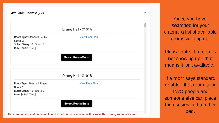### Available Rooms: (72)

## Disney Hall - C101A

Room Type: Standard Double Spots: 2 Suite: Disney 101 Spots: 3 Rate: \$3900 [Term]

**View Floor Plan** 

#### **Select Room/Suite**

Disney Hall - C101B

Room Type: Standard Single Spots: 1 Suite: Disney 101 Spots: 3 Rate: \$4300 [Term]

**View Floor Plan** 

**Select Room/Suite** 

Once you have searched for your criteria, a list of available rooms will pop up.

Please note, if a room is not showing up - that means it isn't available.

If a room says standard double - that room is for TWO people and someone else can place themselves in that other bed.

 $\sim$ 

**these rooms are just an example and do not represent what will be avaialble during room selection**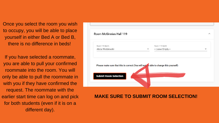Once you select the room you wish to occupy, you will be able to place yourself in either Bed A or Bed B, there is no difference in beds!

If you have selected a roommate, you are able to pull your confirmed roommate into the room. You will only be able to pull the roommate in with you if they have confirmed the request. The roommate with the earlier start time can log on and pick for both students (even if it is on a different day).



# **MAKE SURE TO SUBMIT ROOM SELECTION!**